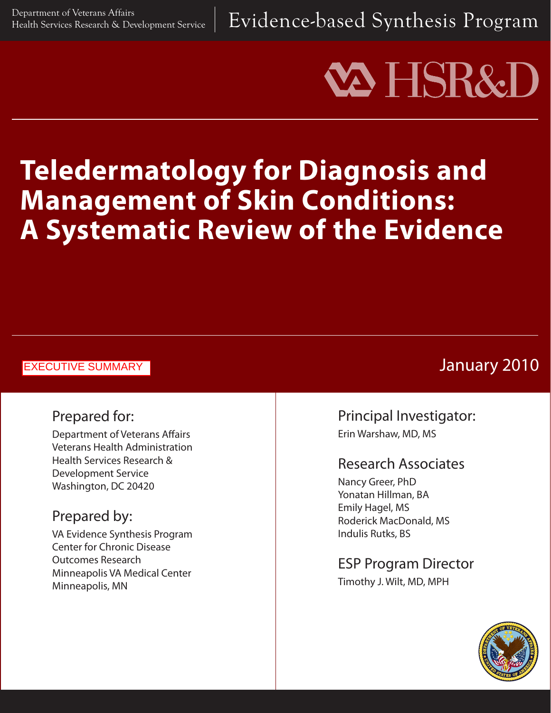Department of Veterans Affairs  $\rho$  Development Service  $\parallel {\rm Evidence\-based\ Synthesis\ }$   $\Gamma$   $\log {\rm ram}$ 

# **VA HSR&**

# **Teledermatology for Diagnosis and Management of Skin Conditions: A Systematic Review of the Evidence**

#### EXECUTIVE SUMMARY

# Prepared for:

Department of Veterans Affairs Veterans Health Administration Health Services Research & Development Service Washington, DC 20420

# Prepared by:

VA Evidence Synthesis Program Center for Chronic Disease Outcomes Research Minneapolis VA Medical Center Minneapolis, MN

# January 2010

## Principal Investigator: Erin Warshaw, MD, MS

### Research Associates

Nancy Greer, PhD Yonatan Hillman, BA Emily Hagel, MS Roderick MacDonald, MS Indulis Rutks, BS

# ESP Program Director

Timothy J. Wilt, MD, MPH

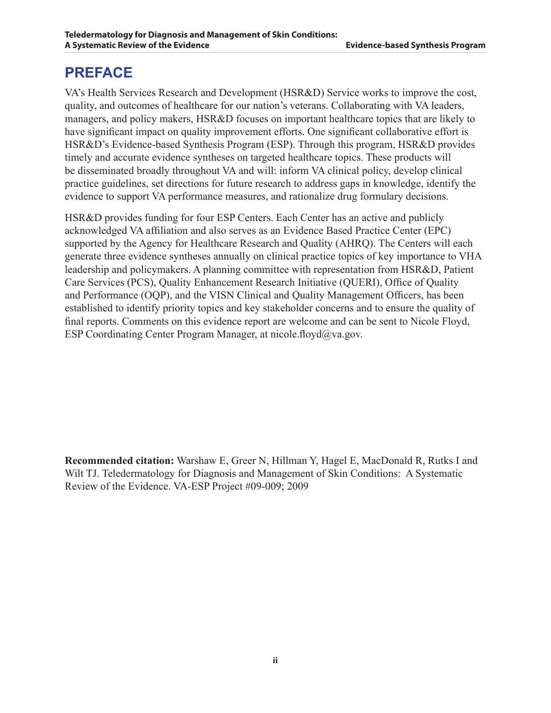# **PREFACE**

VA's Health Services Research and Development (HSR&D) Service works to improve the cost, quality, and outcomes of healthcare for our nation's veterans. Collaborating with VA leaders, managers, and policy makers, HSR&D focuses on important healthcare topics that are likely to have significant impact on quality improvement efforts. One significant collaborative effort is HSR&D's Evidence-based Synthesis Program (ESP). Through this program, HSR&D provides timely and accurate evidence syntheses on targeted healthcare topics. These products will be disseminated broadly throughout VA and will: inform VA clinical policy, develop clinical practice guidelines, set directions for future research to address gaps in knowledge, identify the evidence to support VA performance measures, and rationalize drug formulary decisions.

HSR&D provides funding for four ESP Centers. Each Center has an active and publicly acknowledged VA affiliation and also serves as an Evidence Based Practice Center (EPC) supported by the Agency for Healthcare Research and Quality (AHRQ). The Centers will each generate three evidence syntheses annually on clinical practice topics of key importance to VHA leadership and policymakers. A planning committee with representation from HSR&D, Patient Care Services (PCS), Quality Enhancement Research Initiative (QUERI), Office of Quality and Performance (OQP), and the VISN Clinical and Quality Management Officers, has been established to identify priority topics and key stakeholder concerns and to ensure the quality of final reports. Comments on this evidence report are welcome and can be sent to Nicole Floyd, ESP Coordinating Center Program Manager, at nicole.floyd $\partial_{\mathcal{V}}$ a.gov.

**Recommended citation:** Warshaw E, Greer N, Hillman Y, Hagel E, MacDonald R, Rutks I and Wilt TJ. Teledermatology for Diagnosis and Management of Skin Conditions: A Systematic Review of the Evidence. VA-ESP Project #09-009; 2009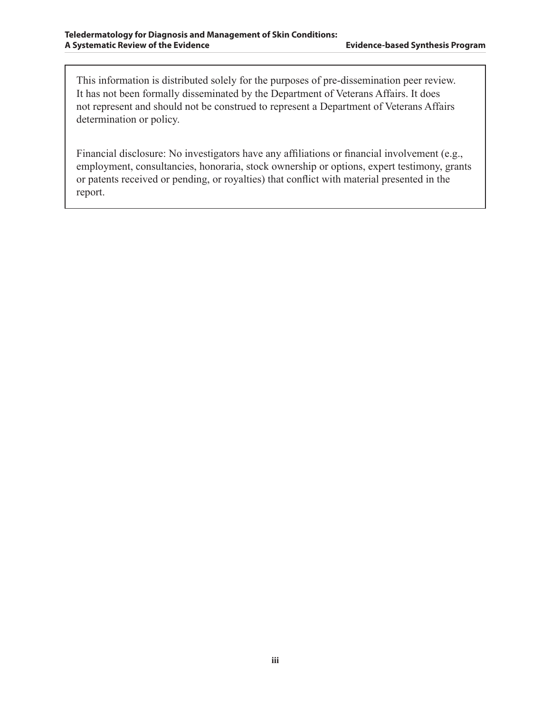This information is distributed solely for the purposes of pre-dissemination peer review. It has not been formally disseminated by the Department of Veterans Affairs. It does not represent and should not be construed to represent a Department of Veterans Affairs determination or policy.

Financial disclosure: No investigators have any affiliations or financial involvement (e.g., employment, consultancies, honoraria, stock ownership or options, expert testimony, grants or patents received or pending, or royalties) that conflict with material presented in the report.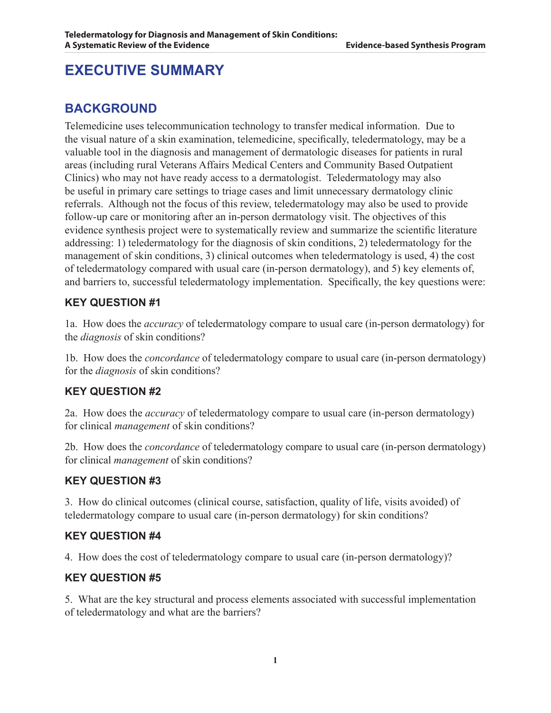# **EXECUTIVE SUMMARY**

#### **BACKGROUND**

Telemedicine uses telecommunication technology to transfer medical information. Due to the visual nature of a skin examination, telemedicine, specifically, teledermatology, may be a valuable tool in the diagnosis and management of dermatologic diseases for patients in rural areas (including rural Veterans Affairs Medical Centers and Community Based Outpatient Clinics) who may not have ready access to a dermatologist. Teledermatology may also be useful in primary care settings to triage cases and limit unnecessary dermatology clinic referrals. Although not the focus of this review, teledermatology may also be used to provide follow-up care or monitoring after an in-person dermatology visit. The objectives of this evidence synthesis project were to systematically review and summarize the scientific literature addressing: 1) teledermatology for the diagnosis of skin conditions, 2) teledermatology for the management of skin conditions, 3) clinical outcomes when teledermatology is used, 4) the cost of teledermatology compared with usual care (in-person dermatology), and 5) key elements of, and barriers to, successful teledermatology implementation. Specifically, the key questions were:

#### **KEY QUESTION #1**

1a. How does the *accuracy* of teledermatology compare to usual care (in-person dermatology) for the *diagnosis* of skin conditions?

1b. How does the *concordance* of teledermatology compare to usual care (in-person dermatology) for the *diagnosis* of skin conditions?

#### **KEY QUESTION #2**

2a. How does the *accuracy* of teledermatology compare to usual care (in-person dermatology) for clinical *management* of skin conditions?

2b. How does the *concordance* of teledermatology compare to usual care (in-person dermatology) for clinical *management* of skin conditions?

#### **KEY QUESTION #3**

3. How do clinical outcomes (clinical course, satisfaction, quality of life, visits avoided) of teledermatology compare to usual care (in-person dermatology) for skin conditions?

#### **KEY QUESTION #4**

4. How does the cost of teledermatology compare to usual care (in-person dermatology)?

#### **KEY QUESTION #5**

5. What are the key structural and process elements associated with successful implementation of teledermatology and what are the barriers?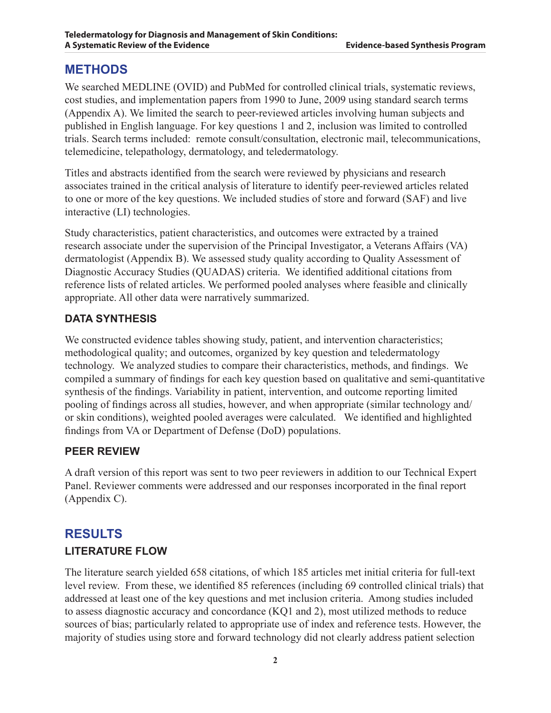#### **METHODS**

We searched MEDLINE (OVID) and PubMed for controlled clinical trials, systematic reviews, cost studies, and implementation papers from 1990 to June, 2009 using standard search terms (Appendix A). We limited the search to peer-reviewed articles involving human subjects and published in English language. For key questions 1 and 2, inclusion was limited to controlled trials. Search terms included: remote consult/consultation, electronic mail, telecommunications, telemedicine, telepathology, dermatology, and teledermatology.

Titles and abstracts identified from the search were reviewed by physicians and research associates trained in the critical analysis of literature to identify peer-reviewed articles related to one or more of the key questions. We included studies of store and forward (SAF) and live interactive (LI) technologies.

Study characteristics, patient characteristics, and outcomes were extracted by a trained research associate under the supervision of the Principal Investigator, a Veterans Affairs (VA) dermatologist (Appendix B). We assessed study quality according to Quality Assessment of Diagnostic Accuracy Studies (QUADAS) criteria. We identified additional citations from reference lists of related articles. We performed pooled analyses where feasible and clinically appropriate. All other data were narratively summarized.

#### **Data Synthesis**

We constructed evidence tables showing study, patient, and intervention characteristics; methodological quality; and outcomes, organized by key question and teledermatology technology. We analyzed studies to compare their characteristics, methods, and findings. We compiled a summary of findings for each key question based on qualitative and semi-quantitative synthesis of the findings. Variability in patient, intervention, and outcome reporting limited pooling of findings across all studies, however, and when appropriate (similar technology and/ or skin conditions), weighted pooled averages were calculated. We identified and highlighted findings from VA or Department of Defense (DoD) populations.

#### **Peer Review**

A draft version of this report was sent to two peer reviewers in addition to our Technical Expert Panel. Reviewer comments were addressed and our responses incorporated in the final report (Appendix C).

# **RESULTS Literature Flow**

The literature search yielded 658 citations, of which 185 articles met initial criteria for full-text level review. From these, we identified 85 references (including 69 controlled clinical trials) that addressed at least one of the key questions and met inclusion criteria. Among studies included to assess diagnostic accuracy and concordance (KQ1 and 2), most utilized methods to reduce sources of bias; particularly related to appropriate use of index and reference tests. However, the majority of studies using store and forward technology did not clearly address patient selection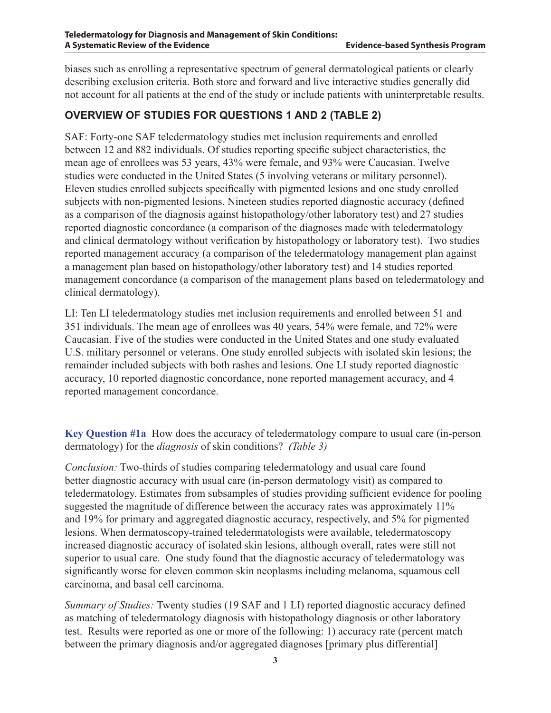biases such as enrolling a representative spectrum of general dermatological patients or clearly describing exclusion criteria. Both store and forward and live interactive studies generally did not account for all patients at the end of the study or include patients with uninterpretable results.

#### **Overview of Studies for Questions 1 and 2 (Table 2)**

SAF: Forty-one SAF teledermatology studies met inclusion requirements and enrolled between 12 and 882 individuals. Of studies reporting specific subject characteristics, the mean age of enrollees was 53 years, 43% were female, and 93% were Caucasian. Twelve studies were conducted in the United States (5 involving veterans or military personnel). Eleven studies enrolled subjects specifically with pigmented lesions and one study enrolled subjects with non-pigmented lesions. Nineteen studies reported diagnostic accuracy (defined as a comparison of the diagnosis against histopathology/other laboratory test) and 27 studies reported diagnostic concordance (a comparison of the diagnoses made with teledermatology and clinical dermatology without verification by histopathology or laboratory test). Two studies reported management accuracy (a comparison of the teledermatology management plan against a management plan based on histopathology/other laboratory test) and 14 studies reported management concordance (a comparison of the management plans based on teledermatology and clinical dermatology).

LI: Ten LI teledermatology studies met inclusion requirements and enrolled between 51 and 351 individuals. The mean age of enrollees was 40 years, 54% were female, and 72% were Caucasian. Five of the studies were conducted in the United States and one study evaluated U.S. military personnel or veterans. One study enrolled subjects with isolated skin lesions; the remainder included subjects with both rashes and lesions. One LI study reported diagnostic accuracy, 10 reported diagnostic concordance, none reported management accuracy, and 4 reported management concordance.

**Key Question #1a** How does the accuracy of teledermatology compare to usual care (in-person dermatology) for the *diagnosis* of skin conditions? *(Table 3)*

*Conclusion:* Two-thirds of studies comparing teledermatology and usual care found better diagnostic accuracy with usual care (in-person dermatology visit) as compared to teledermatology. Estimates from subsamples of studies providing sufficient evidence for pooling suggested the magnitude of difference between the accuracy rates was approximately 11% and 19% for primary and aggregated diagnostic accuracy, respectively, and 5% for pigmented lesions. When dermatoscopy-trained teledermatologists were available, teledermatoscopy increased diagnostic accuracy of isolated skin lesions, although overall, rates were still not superior to usual care. One study found that the diagnostic accuracy of teledermatology was significantly worse for eleven common skin neoplasms including melanoma, squamous cell carcinoma, and basal cell carcinoma.

*Summary of Studies:* Twenty studies (19 SAF and 1 LI) reported diagnostic accuracy defined as matching of teledermatology diagnosis with histopathology diagnosis or other laboratory test. Results were reported as one or more of the following: 1) accuracy rate (percent match between the primary diagnosis and/or aggregated diagnoses [primary plus differential]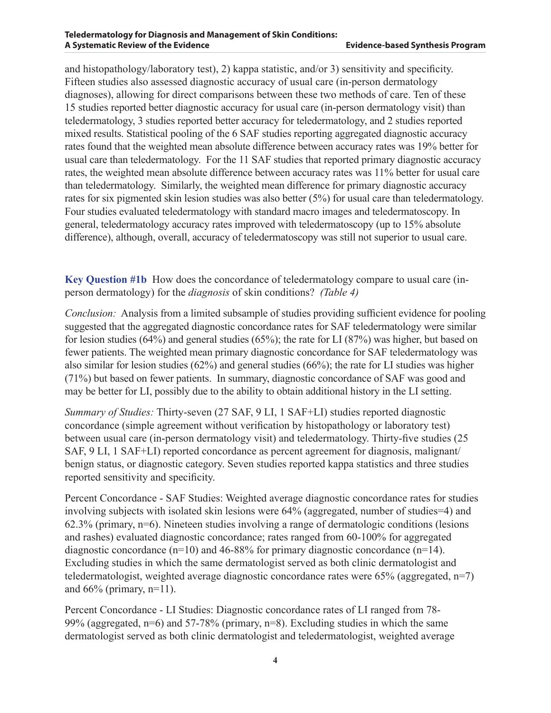and histopathology/laboratory test), 2) kappa statistic, and/or 3) sensitivity and specificity. Fifteen studies also assessed diagnostic accuracy of usual care (in-person dermatology diagnoses), allowing for direct comparisons between these two methods of care. Ten of these 15 studies reported better diagnostic accuracy for usual care (in-person dermatology visit) than teledermatology, 3 studies reported better accuracy for teledermatology, and 2 studies reported mixed results. Statistical pooling of the 6 SAF studies reporting aggregated diagnostic accuracy rates found that the weighted mean absolute difference between accuracy rates was 19% better for usual care than teledermatology. For the 11 SAF studies that reported primary diagnostic accuracy rates, the weighted mean absolute difference between accuracy rates was 11% better for usual care than teledermatology. Similarly, the weighted mean difference for primary diagnostic accuracy rates for six pigmented skin lesion studies was also better (5%) for usual care than teledermatology. Four studies evaluated teledermatology with standard macro images and teledermatoscopy. In general, teledermatology accuracy rates improved with teledermatoscopy (up to 15% absolute difference), although, overall, accuracy of teledermatoscopy was still not superior to usual care.

**Key Question #1b** How does the concordance of teledermatology compare to usual care (inperson dermatology) for the *diagnosis* of skin conditions? *(Table 4)*

*Conclusion:* Analysis from a limited subsample of studies providing sufficient evidence for pooling suggested that the aggregated diagnostic concordance rates for SAF teledermatology were similar for lesion studies (64%) and general studies (65%); the rate for LI (87%) was higher, but based on fewer patients. The weighted mean primary diagnostic concordance for SAF teledermatology was also similar for lesion studies (62%) and general studies (66%); the rate for LI studies was higher (71%) but based on fewer patients. In summary, diagnostic concordance of SAF was good and may be better for LI, possibly due to the ability to obtain additional history in the LI setting.

*Summary of Studies:* Thirty-seven (27 SAF, 9 LI, 1 SAF+LI) studies reported diagnostic concordance (simple agreement without verification by histopathology or laboratory test) between usual care (in-person dermatology visit) and teledermatology. Thirty-five studies (25 SAF, 9 LI, 1 SAF+LI) reported concordance as percent agreement for diagnosis, malignant/ benign status, or diagnostic category. Seven studies reported kappa statistics and three studies reported sensitivity and specificity.

Percent Concordance - SAF Studies: Weighted average diagnostic concordance rates for studies involving subjects with isolated skin lesions were 64% (aggregated, number of studies=4) and 62.3% (primary, n=6). Nineteen studies involving a range of dermatologic conditions (lesions and rashes) evaluated diagnostic concordance; rates ranged from 60-100% for aggregated diagnostic concordance  $(n=10)$  and 46-88% for primary diagnostic concordance  $(n=14)$ . Excluding studies in which the same dermatologist served as both clinic dermatologist and teledermatologist, weighted average diagnostic concordance rates were  $65\%$  (aggregated,  $n=7$ ) and  $66%$  (primary, n=11).

Percent Concordance - LI Studies: Diagnostic concordance rates of LI ranged from 78- 99% (aggregated, n=6) and 57-78% (primary, n=8). Excluding studies in which the same dermatologist served as both clinic dermatologist and teledermatologist, weighted average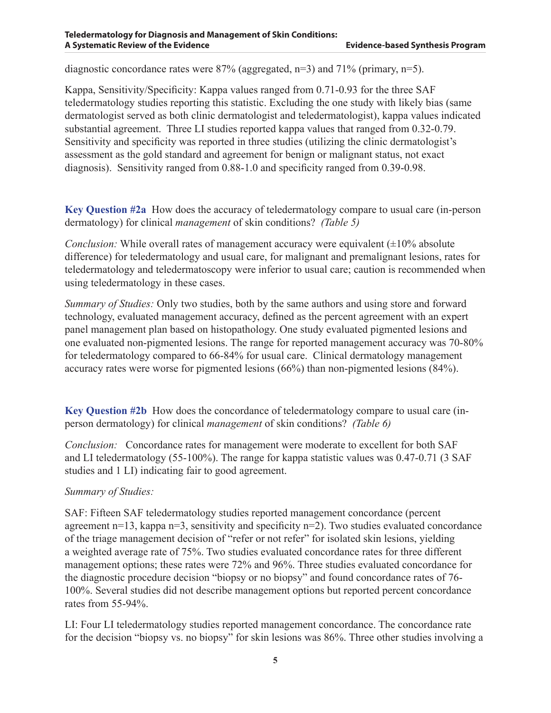diagnostic concordance rates were  $87\%$  (aggregated, n=3) and  $71\%$  (primary, n=5).

Kappa, Sensitivity/Specificity: Kappa values ranged from 0.71-0.93 for the three SAF teledermatology studies reporting this statistic. Excluding the one study with likely bias (same dermatologist served as both clinic dermatologist and teledermatologist), kappa values indicated substantial agreement. Three LI studies reported kappa values that ranged from 0.32-0.79. Sensitivity and specificity was reported in three studies (utilizing the clinic dermatologist's assessment as the gold standard and agreement for benign or malignant status, not exact diagnosis). Sensitivity ranged from 0.88-1.0 and specificity ranged from 0.39-0.98.

**Key Question #2a** How does the accuracy of teledermatology compare to usual care (in-person dermatology) for clinical *management* of skin conditions? *(Table 5)*

*Conclusion:* While overall rates of management accuracy were equivalent ( $\pm 10\%$  absolute difference) for teledermatology and usual care, for malignant and premalignant lesions, rates for teledermatology and teledermatoscopy were inferior to usual care; caution is recommended when using teledermatology in these cases.

*Summary of Studies:* Only two studies, both by the same authors and using store and forward technology, evaluated management accuracy, defined as the percent agreement with an expert panel management plan based on histopathology. One study evaluated pigmented lesions and one evaluated non-pigmented lesions. The range for reported management accuracy was 70-80% for teledermatology compared to 66-84% for usual care. Clinical dermatology management accuracy rates were worse for pigmented lesions (66%) than non-pigmented lesions (84%).

**Key Question #2b** How does the concordance of teledermatology compare to usual care (inperson dermatology) for clinical *management* of skin conditions? *(Table 6)*

*Conclusion:* Concordance rates for management were moderate to excellent for both SAF and LI teledermatology (55-100%). The range for kappa statistic values was 0.47-0.71 (3 SAF studies and 1 LI) indicating fair to good agreement.

#### *Summary of Studies:*

SAF: Fifteen SAF teledermatology studies reported management concordance (percent agreement  $n=13$ , kappa  $n=3$ , sensitivity and specificity  $n=2$ ). Two studies evaluated concordance of the triage management decision of "refer or not refer" for isolated skin lesions, yielding a weighted average rate of 75%. Two studies evaluated concordance rates for three different management options; these rates were 72% and 96%. Three studies evaluated concordance for the diagnostic procedure decision "biopsy or no biopsy" and found concordance rates of 76- 100%. Several studies did not describe management options but reported percent concordance rates from 55-94%.

LI: Four LI teledermatology studies reported management concordance. The concordance rate for the decision "biopsy vs. no biopsy" for skin lesions was 86%. Three other studies involving a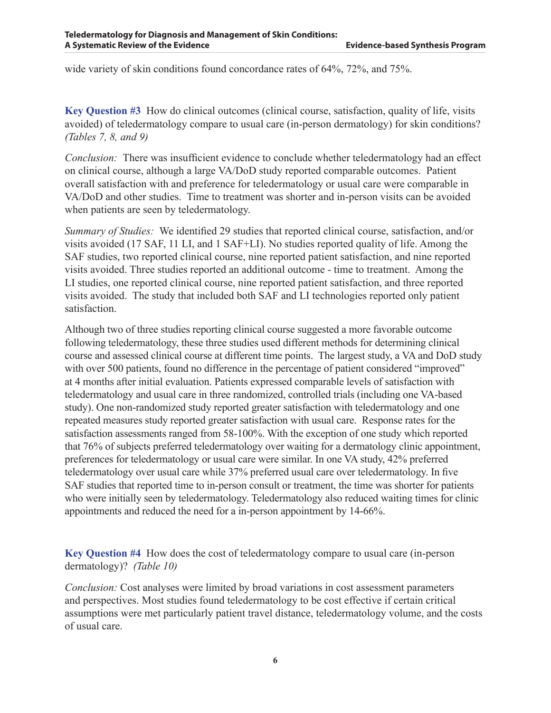wide variety of skin conditions found concordance rates of 64%, 72%, and 75%.

**Key Question #3** How do clinical outcomes (clinical course, satisfaction, quality of life, visits avoided) of teledermatology compare to usual care (in-person dermatology) for skin conditions? *(Tables 7, 8, and 9)*

*Conclusion:* There was insufficient evidence to conclude whether teledermatology had an effect on clinical course, although a large VA/DoD study reported comparable outcomes. Patient overall satisfaction with and preference for teledermatology or usual care were comparable in VA/DoD and other studies. Time to treatment was shorter and in-person visits can be avoided when patients are seen by teledermatology.

*Summary of Studies:* We identified 29 studies that reported clinical course, satisfaction, and/or visits avoided (17 SAF, 11 LI, and 1 SAF+LI). No studies reported quality of life. Among the SAF studies, two reported clinical course, nine reported patient satisfaction, and nine reported visits avoided. Three studies reported an additional outcome - time to treatment. Among the LI studies, one reported clinical course, nine reported patient satisfaction, and three reported visits avoided. The study that included both SAF and LI technologies reported only patient satisfaction.

Although two of three studies reporting clinical course suggested a more favorable outcome following teledermatology, these three studies used different methods for determining clinical course and assessed clinical course at different time points. The largest study, a VA and DoD study with over 500 patients, found no difference in the percentage of patient considered "improved" at 4 months after initial evaluation. Patients expressed comparable levels of satisfaction with teledermatology and usual care in three randomized, controlled trials (including one VA-based study). One non-randomized study reported greater satisfaction with teledermatology and one repeated measures study reported greater satisfaction with usual care. Response rates for the satisfaction assessments ranged from 58-100%. With the exception of one study which reported that 76% of subjects preferred teledermatology over waiting for a dermatology clinic appointment, preferences for teledermatology or usual care were similar. In one VA study, 42% preferred teledermatology over usual care while 37% preferred usual care over teledermatology. In five SAF studies that reported time to in-person consult or treatment, the time was shorter for patients who were initially seen by teledermatology. Teledermatology also reduced waiting times for clinic appointments and reduced the need for a in-person appointment by 14-66%.

**Key Question #4** How does the cost of teledermatology compare to usual care (in-person dermatology)? *(Table 10)*

*Conclusion:* Cost analyses were limited by broad variations in cost assessment parameters and perspectives. Most studies found teledermatology to be cost effective if certain critical assumptions were met particularly patient travel distance, teledermatology volume, and the costs of usual care.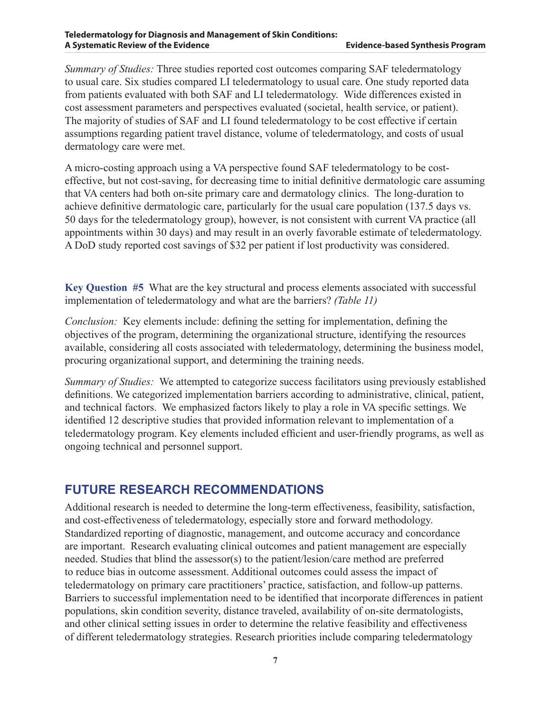*Summary of Studies:* Three studies reported cost outcomes comparing SAF teledermatology to usual care. Six studies compared LI teledermatology to usual care. One study reported data from patients evaluated with both SAF and LI teledermatology. Wide differences existed in cost assessment parameters and perspectives evaluated (societal, health service, or patient). The majority of studies of SAF and LI found teledermatology to be cost effective if certain assumptions regarding patient travel distance, volume of teledermatology, and costs of usual dermatology care were met.

A micro-costing approach using a VA perspective found SAF teledermatology to be costeffective, but not cost-saving, for decreasing time to initial definitive dermatologic care assuming that VA centers had both on-site primary care and dermatology clinics. The long-duration to achieve definitive dermatologic care, particularly for the usual care population (137.5 days vs. 50 days for the teledermatology group), however, is not consistent with current VA practice (all appointments within 30 days) and may result in an overly favorable estimate of teledermatology. A DoD study reported cost savings of \$32 per patient if lost productivity was considered.

**Key Question #5** What are the key structural and process elements associated with successful implementation of teledermatology and what are the barriers? *(Table 11)*

*Conclusion:* Key elements include: defining the setting for implementation, defining the objectives of the program, determining the organizational structure, identifying the resources available, considering all costs associated with teledermatology, determining the business model, procuring organizational support, and determining the training needs.

*Summary of Studies:* We attempted to categorize success facilitators using previously established definitions. We categorized implementation barriers according to administrative, clinical, patient, and technical factors. We emphasized factors likely to play a role in VA specific settings. We identified 12 descriptive studies that provided information relevant to implementation of a teledermatology program. Key elements included efficient and user-friendly programs, as well as ongoing technical and personnel support.

#### **FUTURE RESEARCH RECOMMENDATIONS**

Additional research is needed to determine the long-term effectiveness, feasibility, satisfaction, and cost-effectiveness of teledermatology, especially store and forward methodology. Standardized reporting of diagnostic, management, and outcome accuracy and concordance are important. Research evaluating clinical outcomes and patient management are especially needed. Studies that blind the assessor(s) to the patient/lesion/care method are preferred to reduce bias in outcome assessment. Additional outcomes could assess the impact of teledermatology on primary care practitioners' practice, satisfaction, and follow-up patterns. Barriers to successful implementation need to be identified that incorporate differences in patient populations, skin condition severity, distance traveled, availability of on-site dermatologists, and other clinical setting issues in order to determine the relative feasibility and effectiveness of different teledermatology strategies. Research priorities include comparing teledermatology